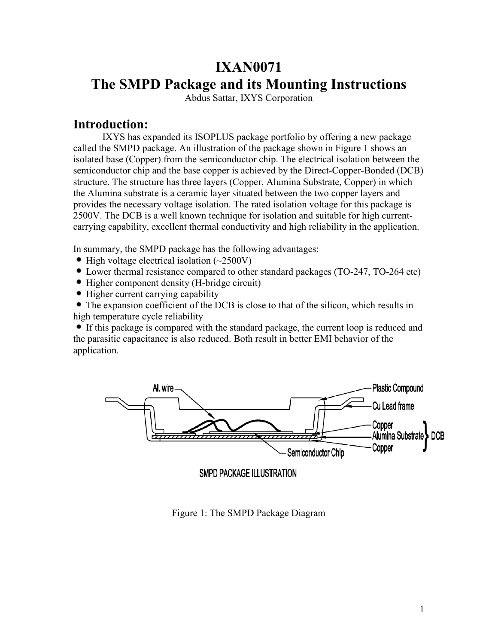# **IXAN0071 The SMPD Package and its Mounting Instructions**

Abdus Sattar, IXYS Corporation

# **Introduction:**

IXYS has expanded its ISOPLUS package portfolio by offering a new package called the SMPD package. An illustration of the package shown in Figure 1 shows an isolated base (Copper) from the semiconductor chip. The electrical isolation between the semiconductor chip and the base copper is achieved by the Direct-Copper-Bonded (DCB) structure. The structure has three layers (Copper, Alumina Substrate, Copper) in which the Alumina substrate is a ceramic layer situated between the two copper layers and provides the necessary voltage isolation. The rated isolation voltage for this package is 2500V. The DCB is a well known technique for isolation and suitable for high currentcarrying capability, excellent thermal conductivity and high reliability in the application.

In summary, the SMPD package has the following advantages:

- $\bullet$  High voltage electrical isolation (~2500V)
- Lower thermal resistance compared to other standard packages (TO-247, TO-264 etc)
- Higher component density (H-bridge circuit)
- Higher current carrying capability

 The expansion coefficient of the DCB is close to that of the silicon, which results in high temperature cycle reliability

 If this package is compared with the standard package, the current loop is reduced and the parasitic capacitance is also reduced. Both result in better EMI behavior of the application.



**SMPD PACKAGE ILLUSTRATION** 

Figure 1: The SMPD Package Diagram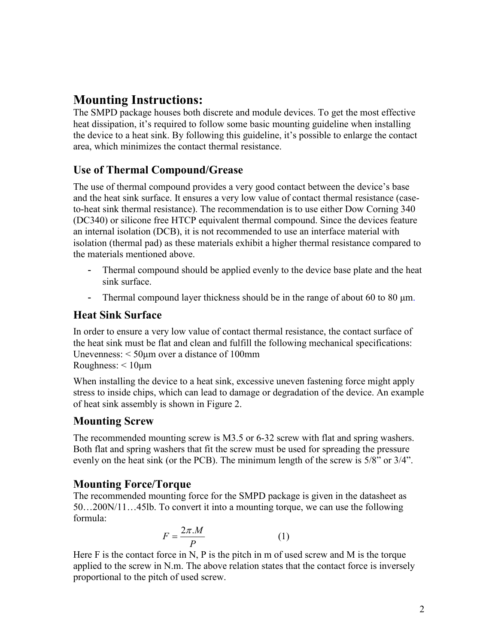# **Mounting Instructions:**

The SMPD package houses both discrete and module devices. To get the most effective heat dissipation, it's required to follow some basic mounting guideline when installing the device to a heat sink. By following this guideline, it's possible to enlarge the contact area, which minimizes the contact thermal resistance.

# **Use of Thermal Compound/Grease**

The use of thermal compound provides a very good contact between the device's base and the heat sink surface. It ensures a very low value of contact thermal resistance (caseto-heat sink thermal resistance). The recommendation is to use either Dow Corning 340 (DC340) or silicone free HTCP equivalent thermal compound. Since the devices feature an internal isolation (DCB), it is not recommended to use an interface material with isolation (thermal pad) as these materials exhibit a higher thermal resistance compared to the materials mentioned above.

- Thermal compound should be applied evenly to the device base plate and the heat sink surface.
- Thermal compound layer thickness should be in the range of about 60 to 80  $\mu$ m.

# **Heat Sink Surface**

In order to ensure a very low value of contact thermal resistance, the contact surface of the heat sink must be flat and clean and fulfill the following mechanical specifications: Unevenness: < 50µm over a distance of 100mm Roughness: < 10µm

When installing the device to a heat sink, excessive uneven fastening force might apply stress to inside chips, which can lead to damage or degradation of the device. An example of heat sink assembly is shown in Figure 2.

### **Mounting Screw**

The recommended mounting screw is M3.5 or 6-32 screw with flat and spring washers. Both flat and spring washers that fit the screw must be used for spreading the pressure evenly on the heat sink (or the PCB). The minimum length of the screw is 5/8" or 3/4".

### **Mounting Force/Torque**

The recommended mounting force for the SMPD package is given in the datasheet as 50…200N/11…45lb. To convert it into a mounting torque, we can use the following formula:

$$
F = \frac{2\pi M}{P} \tag{1}
$$

Here  $F$  is the contact force in N, P is the pitch in m of used screw and M is the torque applied to the screw in N.m. The above relation states that the contact force is inversely proportional to the pitch of used screw.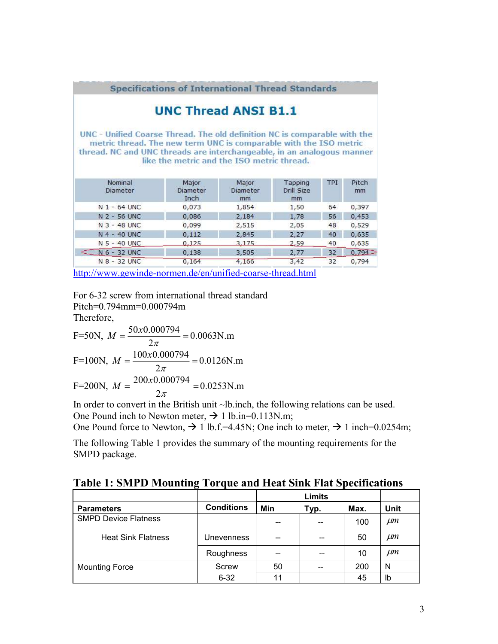|                                                                                                                                                                                                                          | <b>UNC Thread ANSI B1.1</b>                |                         |                             |            |                                                        |
|--------------------------------------------------------------------------------------------------------------------------------------------------------------------------------------------------------------------------|--------------------------------------------|-------------------------|-----------------------------|------------|--------------------------------------------------------|
| UNC - Unified Coarse Thread. The old definition NC is comparable with the<br>metric thread. The new term UNC is comparable with the ISO metric<br>thread. NC and UNC threads are interchangeable, in an analogous manner | like the metric and the ISO metric thread. |                         |                             |            |                                                        |
|                                                                                                                                                                                                                          |                                            |                         |                             |            |                                                        |
| Nominal<br>Diameter                                                                                                                                                                                                      | Major<br>Diameter<br>Inch                  | Major<br>Diameter<br>mm | Tapping<br>Drill Size<br>mm | <b>TPI</b> | Pitch<br>mm                                            |
| $N$ 1 - 64 UNC                                                                                                                                                                                                           | 0,073                                      | 1,854                   | 1,50                        | 64         |                                                        |
| N 2 - 56 UNC                                                                                                                                                                                                             | 0,086                                      | 2,184                   | 1,78                        | 56         |                                                        |
| N 3 - 48 UNC                                                                                                                                                                                                             | 0,099                                      | 2,515                   | 2,05                        | 48         |                                                        |
| N 4 - 40 UNC                                                                                                                                                                                                             | 0,112                                      | 2,845                   | 2,27                        | 40         |                                                        |
| N 5 - 40 UNC                                                                                                                                                                                                             | 0.125                                      | 3,175                   | 2,59                        | 40         |                                                        |
| N 6 - 32 UNC                                                                                                                                                                                                             | 0,138                                      | 3,505                   | 2,77                        | 32         | 0,397<br>0,453<br>0,529<br>0,635<br>0,635<br>$0.794 -$ |

For 6-32 screw from international thread standard

Pitch=0.794mm=0.000794m

Therefore,

F=50N, 
$$
M = \frac{50x0.000794}{2\pi} = 0.0063
$$
N.m  
\nF=100N,  $M = \frac{100x0.000794}{2\pi} = 0.0126$ N.m  
\nF=200N,  $M = \frac{200x0.000794}{2\pi} = 0.0253$ N.m

In order to convert in the British unit ~lb.inch, the following relations can be used. One Pound inch to Newton meter,  $\rightarrow$  1 lb.in=0.113N.m;

One Pound force to Newton,  $\rightarrow$  1 lb.f.=4.45N; One inch to meter,  $\rightarrow$  1 inch=0.0254m;

The following Table 1 provides the summary of the mounting requirements for the SMPD package.

**Table 1: SMPD Mounting Torque and Heat Sink Flat Specifications** 

|                             |                   |     | Limits |      |             |
|-----------------------------|-------------------|-----|--------|------|-------------|
| <b>Parameters</b>           | <b>Conditions</b> | Min | Typ.   | Max. | <b>Unit</b> |
| <b>SMPD Device Flatness</b> |                   | --  |        | 100  | $\mu$ m     |
| <b>Heat Sink Flatness</b>   | <b>Unevenness</b> | --  |        | 50   | $\mu$ m     |
|                             | Roughness         | --  |        | 10   | $\mu$ m     |
| <b>Mounting Force</b>       | Screw             | 50  | --     | 200  | N           |
|                             | $6 - 32$          | 11  |        | 45   | lb          |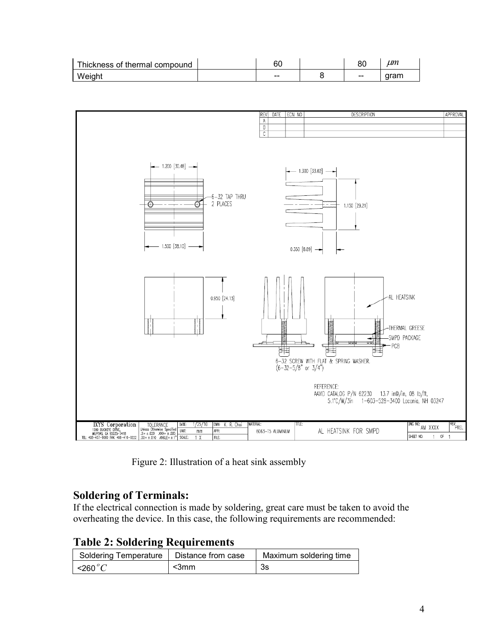| Thickness of thermal compound | ^^<br>ີ<br>υυ | ou                       | um   |
|-------------------------------|---------------|--------------------------|------|
| Weight                        | --            | $\overline{\phantom{m}}$ | aram |



Figure 2: Illustration of a heat sink assembly

#### **Soldering of Terminals:**

If the electrical connection is made by soldering, great care must be taken to avoid the overheating the device. In this case, the following requirements are recommended:

**Table 2: Soldering Requirements** 

| Soldering Temperature   Distance from case |       | Maximum soldering time |  |  |  |  |
|--------------------------------------------|-------|------------------------|--|--|--|--|
| $\sim$ 260 $\degree$ C                     | $3mm$ | -3s                    |  |  |  |  |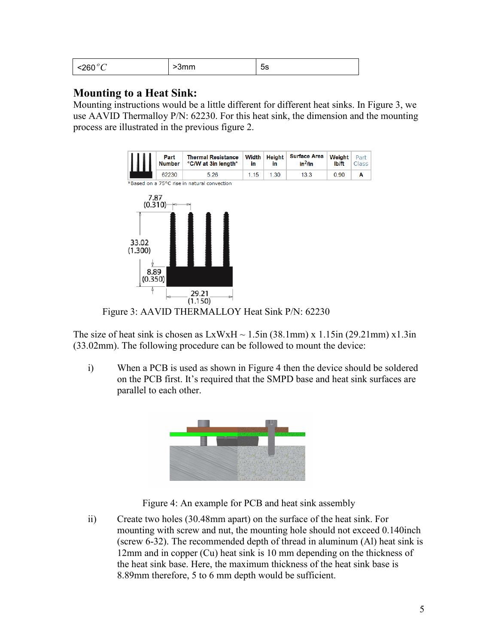| $\sim$ 0.0 $\sim$<br>$   -$<br>--- | .<br>,,,,,, | h<br>ບວ |
|------------------------------------|-------------|---------|
|------------------------------------|-------------|---------|

#### **Mounting to a Heat Sink:**

Mounting instructions would be a little different for different heat sinks. In Figure 3, we use AAVID Thermalloy P/N: 62230. For this heat sink, the dimension and the mounting process are illustrated in the previous figure 2.





Figure 3: AAVID THERMALLOY Heat Sink P/N: 62230

The size of heat sink is chosen as  $LxWxH \sim 1.5$ in (38.1mm) x 1.15in (29.21mm) x 1.3in (33.02mm). The following procedure can be followed to mount the device:

i) When a PCB is used as shown in Figure 4 then the device should be soldered on the PCB first. It's required that the SMPD base and heat sink surfaces are parallel to each other.



Figure 4: An example for PCB and heat sink assembly

ii) Create two holes (30.48mm apart) on the surface of the heat sink. For mounting with screw and nut, the mounting hole should not exceed 0.140inch (screw 6-32). The recommended depth of thread in aluminum (Al) heat sink is 12mm and in copper (Cu) heat sink is 10 mm depending on the thickness of the heat sink base. Here, the maximum thickness of the heat sink base is 8.89mm therefore, 5 to 6 mm depth would be sufficient.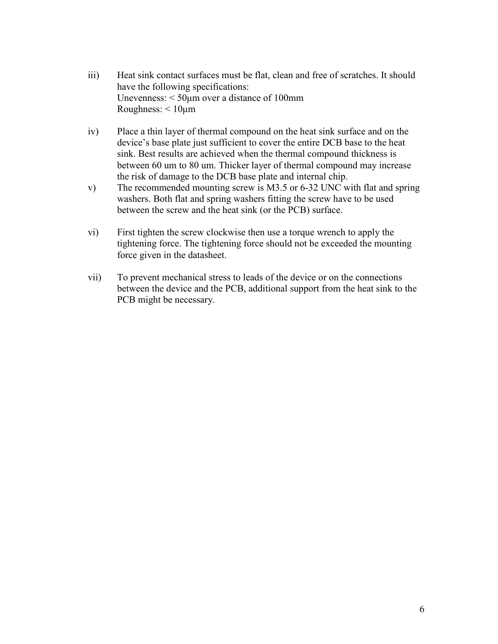- iii) Heat sink contact surfaces must be flat, clean and free of scratches. It should have the following specifications: Unevenness: < 50µm over a distance of 100mm Roughness: < 10µm
- iv) Place a thin layer of thermal compound on the heat sink surface and on the device's base plate just sufficient to cover the entire DCB base to the heat sink. Best results are achieved when the thermal compound thickness is between 60 um to 80 um. Thicker layer of thermal compound may increase the risk of damage to the DCB base plate and internal chip.
- v) The recommended mounting screw is M3.5 or 6-32 UNC with flat and spring washers. Both flat and spring washers fitting the screw have to be used between the screw and the heat sink (or the PCB) surface.
- vi) First tighten the screw clockwise then use a torque wrench to apply the tightening force. The tightening force should not be exceeded the mounting force given in the datasheet.
- vii) To prevent mechanical stress to leads of the device or on the connections between the device and the PCB, additional support from the heat sink to the PCB might be necessary.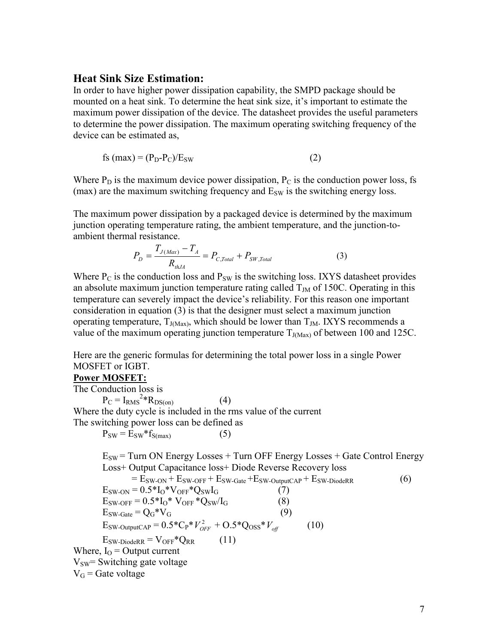#### **Heat Sink Size Estimation:**

In order to have higher power dissipation capability, the SMPD package should be mounted on a heat sink. To determine the heat sink size, it's important to estimate the maximum power dissipation of the device. The datasheet provides the useful parameters to determine the power dissipation. The maximum operating switching frequency of the device can be estimated as,

$$
fs (max) = (P_D - P_C)/E_{SW}
$$
 (2)

Where  $P_D$  is the maximum device power dissipation,  $P_C$  is the conduction power loss, fs (max) are the maximum switching frequency and  $E_{SW}$  is the switching energy loss.

The maximum power dissipation by a packaged device is determined by the maximum junction operating temperature rating, the ambient temperature, and the junction-toambient thermal resistance.

$$
P_D = \frac{T_{J(Max)} - T_A}{R_{thJA}} = P_{C,Total} + P_{SW,Total}
$$
 (3)

Where  $P_C$  is the conduction loss and  $P_{SW}$  is the switching loss. IXYS datasheet provides an absolute maximum junction temperature rating called  $T<sub>JM</sub>$  of 150C. Operating in this temperature can severely impact the device's reliability. For this reason one important consideration in equation (3) is that the designer must select a maximum junction operating temperature,  $T_{J(Max)}$ , which should be lower than  $T_{JM}$ . IXYS recommends a value of the maximum operating junction temperature  $T_{J(Max)}$  of between 100 and 125C.

Here are the generic formulas for determining the total power loss in a single Power MOSFET or IGBT.

#### **Power MOSFET:**

The Conduction loss is  $P_C = I_{RMS}^{2*} R_{DS(on)}$  (4) Where the duty cycle is included in the rms value of the current The switching power loss can be defined as

 $P_{SW} = E_{SW} * f_{S(max)}$  (5)

 $E_{SW}$  = Turn ON Energy Losses + Turn OFF Energy Losses + Gate Control Energy Loss+ Output Capacitance loss+ Diode Reverse Recovery loss  $= E_{SW-ON} + E_{SW-OFF} + E_{SW-Gate} + E_{SW-OutputCAP} + E_{SW-DiodeRR}$  (6)  $E_{SW-ON} = 0.5 * I_0 * V_{OFF} * Q_{SW} I_G$  (7)  $E_{SW-OFF} = 0.5 * I_0 * V_{OFF} * Q_{SW}/I_G$  (8)  $E_{SW-Gate} = Q_G^* V_G$  (9)  $E_{SW\text{-}OutputCAP} = 0.5 \cdot C_P \cdot V_{OFF}^2 + O.5 \cdot Q_{OSS} \cdot V_{off}$  (10)  $E_{SW\text{-DiodeRR}} = V_{OFF} * Q_{RR}$  (11) Where,  $I_{\Omega}$  = Output current  $V_{SW}$ = Switching gate voltage  $V_G$  = Gate voltage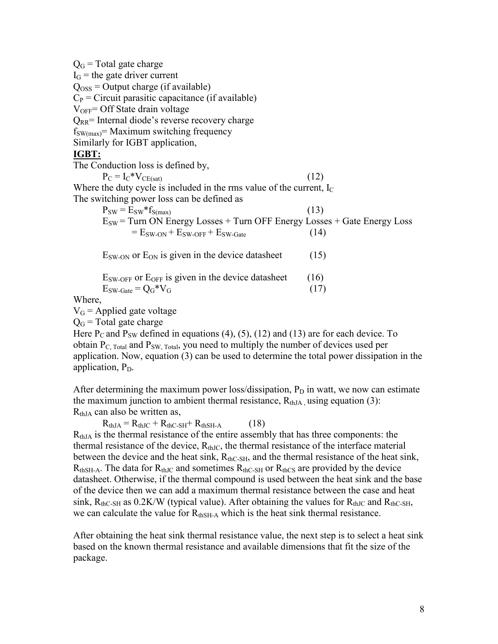| $Q_G$ = Total gate charge                                                    |      |
|------------------------------------------------------------------------------|------|
| $I_G$ = the gate driver current                                              |      |
| $Qoss = Output charge (if available)$                                        |      |
| $C_P$ = Circuit parasitic capacitance (if available)                         |      |
| $V_{OFF} =$ Off State drain voltage                                          |      |
| $Q_{RR}$ = Internal diode's reverse recovery charge                          |      |
| $f_{SW(max)}$ = Maximum switching frequency                                  |      |
| Similarly for IGBT application,                                              |      |
| <b>IGBT:</b>                                                                 |      |
| The Conduction loss is defined by,                                           |      |
| $P_C = I_C * V_{CE(sat)}$                                                    | (12) |
| Where the duty cycle is included in the rms value of the current, $I_c$      |      |
| The switching power loss can be defined as                                   |      |
| $P_{SW} = E_{SW} * f_{S(max)}$                                               | (13) |
| $E_{SW}$ = Turn ON Energy Losses + Turn OFF Energy Losses + Gate Energy Loss |      |
| $E_{SW-ON} + E_{SW-OFF} + E_{SW-Gate}$                                       | (14) |
| $E_{SW-ON}$ or $E_{ON}$ is given in the device datasheet                     | (15) |
|                                                                              |      |
| $E_{SW-OFF}$ or $E_{OFF}$ is given in the device datasheet                   | (16) |
| $E_{SW-Gate} = Q_G*V_G$                                                      | (17) |
| Where,                                                                       |      |
| $V_G$ = Applied gate voltage                                                 |      |

 $Q<sub>G</sub>$  = Total gate charge

Here  $P_C$  and  $P_{SW}$  defined in equations (4), (5), (12) and (13) are for each device. To obtain  $P_{C, Total}$  and  $P_{SW, Total}$ , you need to multiply the number of devices used per application. Now, equation (3) can be used to determine the total power dissipation in the application,  $P<sub>D</sub>$ .

After determining the maximum power loss/dissipation,  $P_D$  in watt, we now can estimate the maximum junction to ambient thermal resistance,  $R_{thJA}$  using equation (3):  $R<sub>thIA</sub>$  can also be written as,

 $R<sub>thJA</sub> = R<sub>thJC</sub> + R<sub>thC-SH</sub> + R<sub>thSH-A</sub>$  (18)

 $R<sub>thJA</sub>$  is the thermal resistance of the entire assembly that has three components: the thermal resistance of the device,  $R_{thJC}$ , the thermal resistance of the interface material between the device and the heat sink,  $R_{thC-SH}$ , and the thermal resistance of the heat sink,  $R_{thSH-A}$ . The data for  $R_{thJC}$  and sometimes  $R_{thC-SH}$  or  $R_{thCS}$  are provided by the device datasheet. Otherwise, if the thermal compound is used between the heat sink and the base of the device then we can add a maximum thermal resistance between the case and heat sink,  $R_{thC-SH}$  as 0.2K/W (typical value). After obtaining the values for  $R_{thJC}$  and  $R_{thC-SH}$ , we can calculate the value for  $R_{thSH-A}$  which is the heat sink thermal resistance.

After obtaining the heat sink thermal resistance value, the next step is to select a heat sink based on the known thermal resistance and available dimensions that fit the size of the package.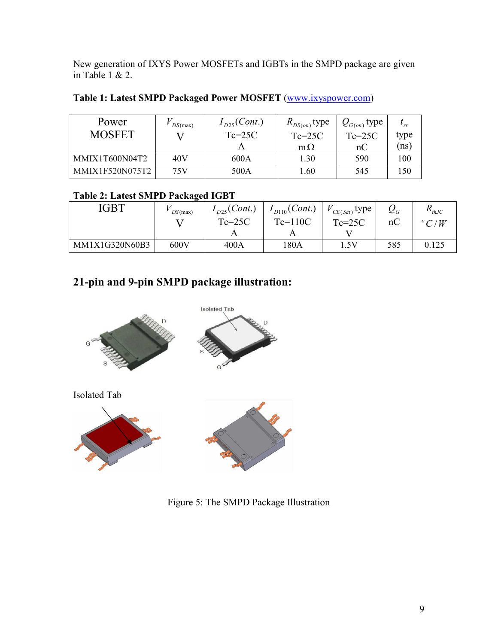New generation of IXYS Power MOSFETs and IGBTs in the SMPD package are given in Table 1 & 2.

| Table 1: Latest SMPD Packaged Power MOSFET (www.ixyspower.com) |  |
|----------------------------------------------------------------|--|
|----------------------------------------------------------------|--|

| Power           | DS(max) | $I_{D25}(Cont.)$ | $R_{DS(on)}$ type | $Q_{G(on)}$ type |      |
|-----------------|---------|------------------|-------------------|------------------|------|
| <b>MOSFET</b>   |         | $Tc=25C$         | $Te=25C$          | $Te=25C$         | type |
|                 |         |                  | $m\Omega$         | nC               | (ns) |
| MMIX1T600N04T2  | 40V     | 600A             | 1.30              | 590              | 100  |
| MMIX1F520N075T2 | 75V     | 500A             | 1.60              | 545              | 150  |

### **Table 2: Latest SMPD Packaged IGBT**

| IGBT           | DS(max) | $I_{D25}(Cont.)$ | $I_{D110}(Cont.)$ | $\mathcal{L}_{CE(Sat)}$ type | $\boldsymbol{\mathcal{L}}_G$ | $\mathbf{A}_{th,IC}$ |
|----------------|---------|------------------|-------------------|------------------------------|------------------------------|----------------------|
|                |         | $Tc=25C$         | $Te=110C$         | $Te=25C$                     | nC                           | $\degree C/W$        |
|                |         |                  |                   |                              |                              |                      |
| MM1X1G320N60B3 | 600V    | 400A             | 180A              | .5V                          | 585                          | 0.125                |

# **21-pin and 9-pin SMPD package illustration:**



Figure 5: The SMPD Package Illustration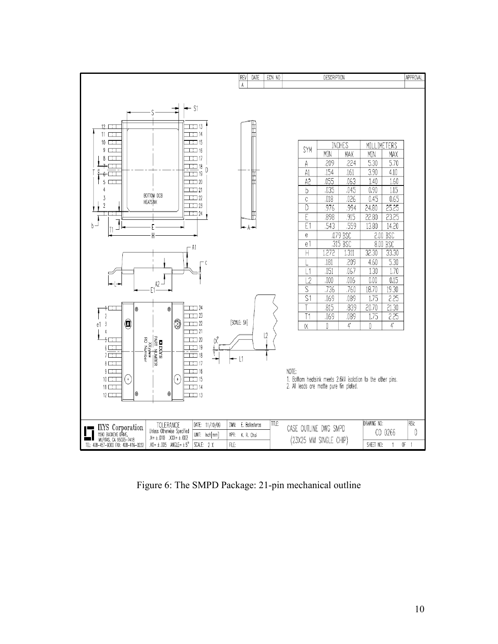

Figure 6: The SMPD Package: 21-pin mechanical outline